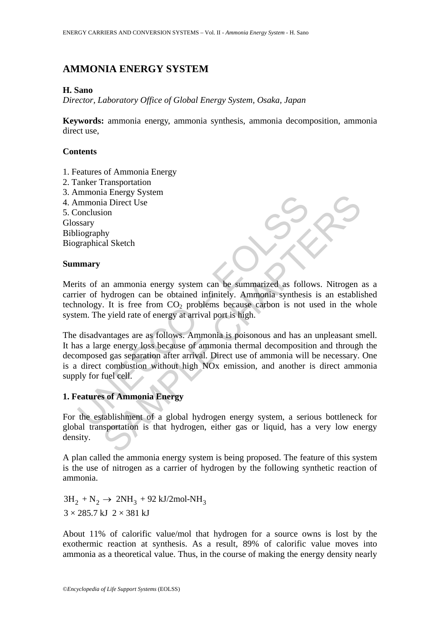# **AMMONIA ENERGY SYSTEM**

#### **H. Sano**

*Director, Laboratory Office of Global Energy System, Osaka, Japan* 

**Keywords:** ammonia energy, ammonia synthesis, ammonia decomposition, ammonia direct use,

### **Contents**

- 1. Features of Ammonia Energy
- 2. Tanker Transportation
- 3. Ammonia Energy System
- 4. Ammonia Direct Use

5. Conclusion Glossary Bibliography Biographical Sketch

#### **Summary**

Merits of an ammonia energy system can be summarized as follows. Nitrogen as a carrier of hydrogen can be obtained infinitely. Ammonia synthesis is an established technology. It is free from  $CO<sub>2</sub>$  problems because carbon is not used in the whole system. The yield rate of energy at arrival port is high.

minionia Enterty by security<br>
in minimia Direct Use<br>
Show the start of an ammonia energy system can be summarized as follo<br>
ier of hydrogen can be obtained infinitely. Ammonia synthesis<br>
inology. It is free from CO<sub>2</sub> prob The analysis of Ammonia energy system can be summarized as follows. Nitrogen<br>
in Direct Use<br>
in Sheeth<br>
and Sketch<br>
and Sketch<br>
and Sketch<br>
and Sketch<br>
and Sketch<br>
and Sketch<br>
cergy at arrival port is high.<br>
antages are as The disadvantages are as follows. Ammonia is poisonous and has an unpleasant smell. It has a large energy loss because of ammonia thermal decomposition and through the decomposed gas separation after arrival. Direct use of ammonia will be necessary. One is a direct combustion without high NOx emission, and another is direct ammonia supply for fuel cell.

## **1. Features of Ammonia Energy**

For the establishment of a global hydrogen energy system, a serious bottleneck for global transportation is that hydrogen, either gas or liquid, has a very low energy density.

A plan called the ammonia energy system is being proposed. The feature of this system is the use of nitrogen as a carrier of hydrogen by the following synthetic reaction of ammonia.

 $3H_2 + N_2 \rightarrow 2NH_3 + 92 \text{ kJ}/2 \text{mol-NH}_3$  $3 \times 285.7$  kJ  $2 \times 381$  kJ

About 11% of calorific value/mol that hydrogen for a source owns is lost by the exothermic reaction at synthesis. As a result, 89% of calorific value moves into ammonia as a theoretical value. Thus, in the course of making the energy density nearly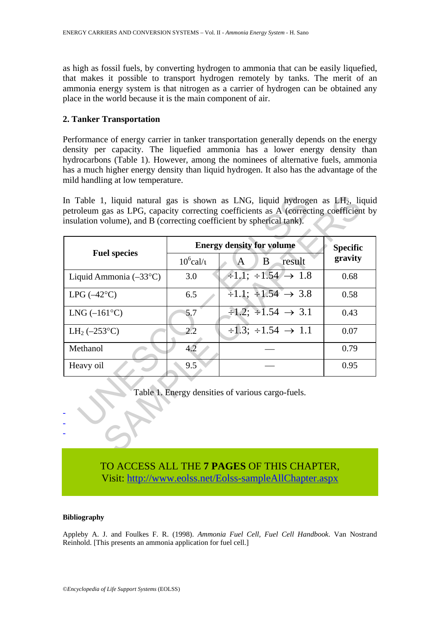as high as fossil fuels, by converting hydrogen to ammonia that can be easily liquefied, that makes it possible to transport hydrogen remotely by tanks. The merit of an ammonia energy system is that nitrogen as a carrier of hydrogen can be obtained any place in the world because it is the main component of air.

#### **2. Tanker Transportation**

Performance of energy carrier in tanker transportation generally depends on the energy density per capacity. The liquefied ammonia has a lower energy density than hydrocarbons (Table 1). However, among the nominees of alternative fuels, ammonia has a much higher energy density than liquid hydrogen. It also has the advantage of the mild handling at low temperature.

| <b>Fuel species</b>                 | <b>Energy density for volume</b> |                                                     | <b>Specific</b> |
|-------------------------------------|----------------------------------|-----------------------------------------------------|-----------------|
|                                     | $10^6$ cal/ $\iota$              | result<br>B<br>A                                    | gravity         |
| Liquid Ammonia $(-33^{\circ}C)$     | 3.0                              | $\div 1.1$ ; $\div 1.54 \rightarrow 1.8$            | 0.68            |
| $LPG$ ( $-42^{\circ}C$ )            | 6.5                              | $\overline{\div 1.1}$ ; $\div 1.54 \rightarrow 3.8$ | 0.58            |
| $LNG (-161°C)$                      | 5.7                              | $\div 1.2$ ; $\div 1.54 \rightarrow 3.1$            | 0.43            |
| LH <sub>2</sub> ( $-253^{\circ}$ C) | $2.2\,$                          | $\div 1.3$ ; $\div 1.54 \rightarrow 1.1$            | 0.07            |
| Methanol                            | 4.2                              |                                                     | 0.79            |
| Heavy oil                           | 9.5                              |                                                     | 0.95            |
|                                     |                                  | Table 1. Energy densities of various cargo-fuels.   |                 |

## TO ACCESS ALL THE **7 PAGES** OF THIS CHAPTER, Visi[t: http://www.eolss.net/Eolss-sampleAllChapter.aspx](https://www.eolss.net/ebooklib/sc_cart.aspx?File=E3-13-08-04)

#### **Bibliography**

Appleby A. J. and Foulkes F. R. (1998). *Ammonia Fuel Cell, Fuel Cell Handbook*. Van Nostrand Reinhold. [This presents an ammonia application for fuel cell.]